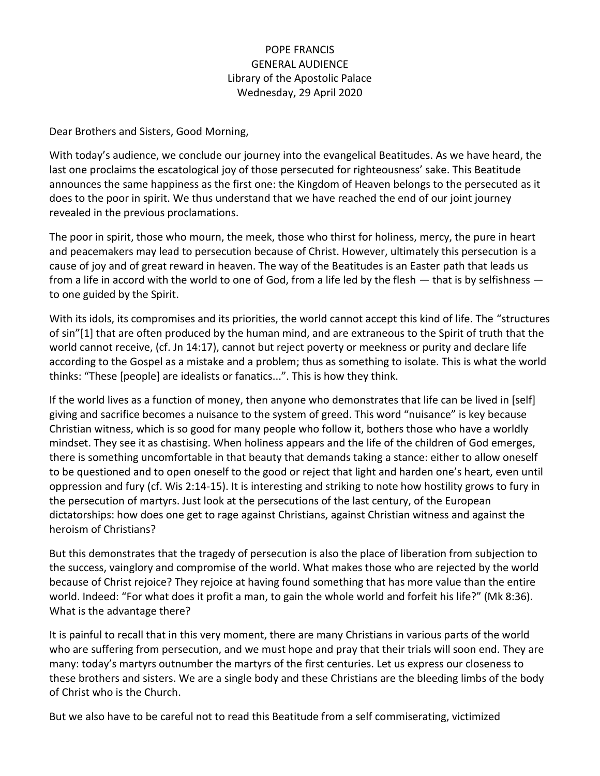#### POPE FRANCIS GENERAL AUDIENCE Library of the Apostolic Palace Wednesday, 29 April 2020

Dear Brothers and Sisters, Good Morning,

With today's audience, we conclude our journey into the evangelical Beatitudes. As we have heard, the last one proclaims the escatological joy of those persecuted for righteousness' sake. This Beatitude announces the same happiness as the first one: the Kingdom of Heaven belongs to the persecuted as it does to the poor in spirit. We thus understand that we have reached the end of our joint journey revealed in the previous proclamations.

The poor in spirit, those who mourn, the meek, those who thirst for holiness, mercy, the pure in heart and peacemakers may lead to persecution because of Christ. However, ultimately this persecution is a cause of joy and of great reward in heaven. The way of the Beatitudes is an Easter path that leads us from a life in accord with the world to one of God, from a life led by the flesh — that is by selfishness to one guided by the Spirit.

With its idols, its compromises and its priorities, the world cannot accept this kind of life. The "structures of sin"[1] that are often produced by the human mind, and are extraneous to the Spirit of truth that the world cannot receive, (cf. Jn 14:17), cannot but reject poverty or meekness or purity and declare life according to the Gospel as a mistake and a problem; thus as something to isolate. This is what the world thinks: "These [people] are idealists or fanatics...". This is how they think.

If the world lives as a function of money, then anyone who demonstrates that life can be lived in [self] giving and sacrifice becomes a nuisance to the system of greed. This word "nuisance" is key because Christian witness, which is so good for many people who follow it, bothers those who have a worldly mindset. They see it as chastising. When holiness appears and the life of the children of God emerges, there is something uncomfortable in that beauty that demands taking a stance: either to allow oneself to be questioned and to open oneself to the good or reject that light and harden one's heart, even until oppression and fury (cf. Wis 2:14-15). It is interesting and striking to note how hostility grows to fury in the persecution of martyrs. Just look at the persecutions of the last century, of the European dictatorships: how does one get to rage against Christians, against Christian witness and against the heroism of Christians?

But this demonstrates that the tragedy of persecution is also the place of liberation from subjection to the success, vainglory and compromise of the world. What makes those who are rejected by the world because of Christ rejoice? They rejoice at having found something that has more value than the entire world. Indeed: "For what does it profit a man, to gain the whole world and forfeit his life?" (Mk 8:36). What is the advantage there?

It is painful to recall that in this very moment, there are many Christians in various parts of the world who are suffering from persecution, and we must hope and pray that their trials will soon end. They are many: today's martyrs outnumber the martyrs of the first centuries. Let us express our closeness to these brothers and sisters. We are a single body and these Christians are the bleeding limbs of the body of Christ who is the Church.

But we also have to be careful not to read this Beatitude from a self commiserating, victimized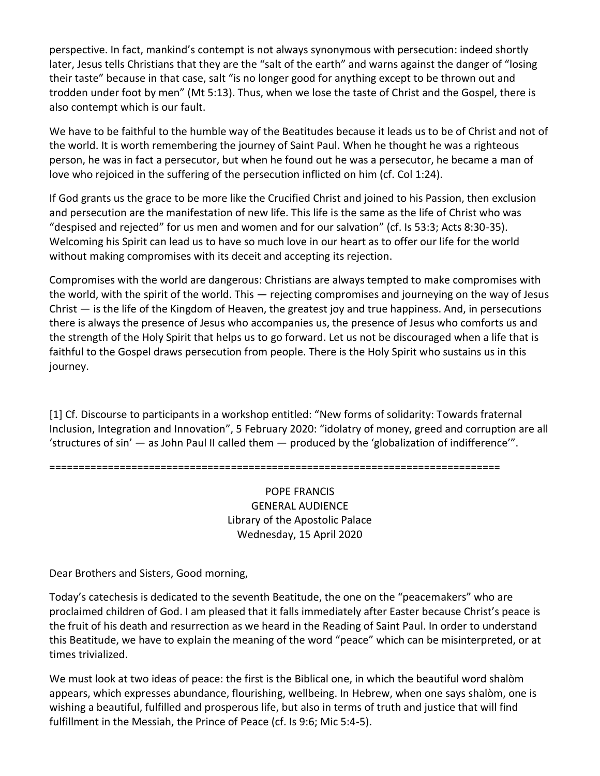perspective. In fact, mankind's contempt is not always synonymous with persecution: indeed shortly later, Jesus tells Christians that they are the "salt of the earth" and warns against the danger of "losing their taste" because in that case, salt "is no longer good for anything except to be thrown out and trodden under foot by men" (Mt 5:13). Thus, when we lose the taste of Christ and the Gospel, there is also contempt which is our fault.

We have to be faithful to the humble way of the Beatitudes because it leads us to be of Christ and not of the world. It is worth remembering the journey of Saint Paul. When he thought he was a righteous person, he was in fact a persecutor, but when he found out he was a persecutor, he became a man of love who rejoiced in the suffering of the persecution inflicted on him (cf. Col 1:24).

If God grants us the grace to be more like the Crucified Christ and joined to his Passion, then exclusion and persecution are the manifestation of new life. This life is the same as the life of Christ who was "despised and rejected" for us men and women and for our salvation" (cf. Is 53:3; Acts 8:30-35). Welcoming his Spirit can lead us to have so much love in our heart as to offer our life for the world without making compromises with its deceit and accepting its rejection.

Compromises with the world are dangerous: Christians are always tempted to make compromises with the world, with the spirit of the world. This — rejecting compromises and journeying on the way of Jesus Christ — is the life of the Kingdom of Heaven, the greatest joy and true happiness. And, in persecutions there is always the presence of Jesus who accompanies us, the presence of Jesus who comforts us and the strength of the Holy Spirit that helps us to go forward. Let us not be discouraged when a life that is faithful to the Gospel draws persecution from people. There is the Holy Spirit who sustains us in this journey.

[1] Cf. Discourse to participants in a workshop entitled: "New forms of solidarity: Towards fraternal Inclusion, Integration and Innovation", 5 February 2020: "idolatry of money, greed and corruption are all 'structures of sin' — as John Paul II called them — produced by the 'globalization of indifference'".

=============================================================================

POPE FRANCIS GENERAL AUDIENCE Library of the Apostolic Palace Wednesday, 15 April 2020

Dear Brothers and Sisters, Good morning,

Today's catechesis is dedicated to the seventh Beatitude, the one on the "peacemakers" who are proclaimed children of God. I am pleased that it falls immediately after Easter because Christ's peace is the fruit of his death and resurrection as we heard in the Reading of Saint Paul. In order to understand this Beatitude, we have to explain the meaning of the word "peace" which can be misinterpreted, or at times trivialized.

We must look at two ideas of peace: the first is the Biblical one, in which the beautiful word shalòm appears, which expresses abundance, flourishing, wellbeing. In Hebrew, when one says shalòm, one is wishing a beautiful, fulfilled and prosperous life, but also in terms of truth and justice that will find fulfillment in the Messiah, the Prince of Peace (cf. Is 9:6; Mic 5:4-5).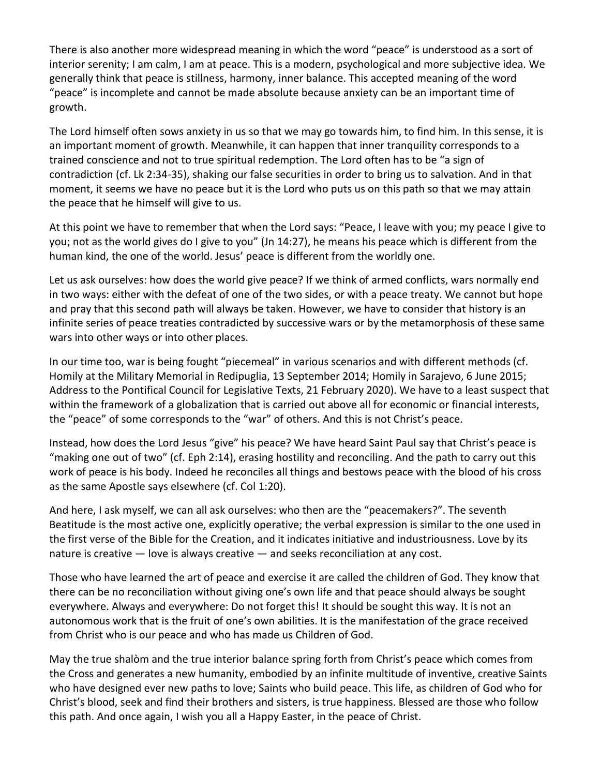There is also another more widespread meaning in which the word "peace" is understood as a sort of interior serenity; I am calm, I am at peace. This is a modern, psychological and more subjective idea. We generally think that peace is stillness, harmony, inner balance. This accepted meaning of the word "peace" is incomplete and cannot be made absolute because anxiety can be an important time of growth.

The Lord himself often sows anxiety in us so that we may go towards him, to find him. In this sense, it is an important moment of growth. Meanwhile, it can happen that inner tranquility corresponds to a trained conscience and not to true spiritual redemption. The Lord often has to be "a sign of contradiction (cf. Lk 2:34-35), shaking our false securities in order to bring us to salvation. And in that moment, it seems we have no peace but it is the Lord who puts us on this path so that we may attain the peace that he himself will give to us.

At this point we have to remember that when the Lord says: "Peace, I leave with you; my peace I give to you; not as the world gives do I give to you" (Jn 14:27), he means his peace which is different from the human kind, the one of the world. Jesus' peace is different from the worldly one.

Let us ask ourselves: how does the world give peace? If we think of armed conflicts, wars normally end in two ways: either with the defeat of one of the two sides, or with a peace treaty. We cannot but hope and pray that this second path will always be taken. However, we have to consider that history is an infinite series of peace treaties contradicted by successive wars or by the metamorphosis of these same wars into other ways or into other places.

In our time too, war is being fought "piecemeal" in various scenarios and with different methods (cf. Homily at the Military Memorial in Redipuglia, 13 September 2014; Homily in Sarajevo, 6 June 2015; Address to the Pontifical Council for Legislative Texts, 21 February 2020). We have to a least suspect that within the framework of a globalization that is carried out above all for economic or financial interests, the "peace" of some corresponds to the "war" of others. And this is not Christ's peace.

Instead, how does the Lord Jesus "give" his peace? We have heard Saint Paul say that Christ's peace is "making one out of two" (cf. Eph 2:14), erasing hostility and reconciling. And the path to carry out this work of peace is his body. Indeed he reconciles all things and bestows peace with the blood of his cross as the same Apostle says elsewhere (cf. Col 1:20).

And here, I ask myself, we can all ask ourselves: who then are the "peacemakers?". The seventh Beatitude is the most active one, explicitly operative; the verbal expression is similar to the one used in the first verse of the Bible for the Creation, and it indicates initiative and industriousness. Love by its nature is creative — love is always creative — and seeks reconciliation at any cost.

Those who have learned the art of peace and exercise it are called the children of God. They know that there can be no reconciliation without giving one's own life and that peace should always be sought everywhere. Always and everywhere: Do not forget this! It should be sought this way. It is not an autonomous work that is the fruit of one's own abilities. It is the manifestation of the grace received from Christ who is our peace and who has made us Children of God.

May the true shalòm and the true interior balance spring forth from Christ's peace which comes from the Cross and generates a new humanity, embodied by an infinite multitude of inventive, creative Saints who have designed ever new paths to love; Saints who build peace. This life, as children of God who for Christ's blood, seek and find their brothers and sisters, is true happiness. Blessed are those who follow this path. And once again, I wish you all a Happy Easter, in the peace of Christ.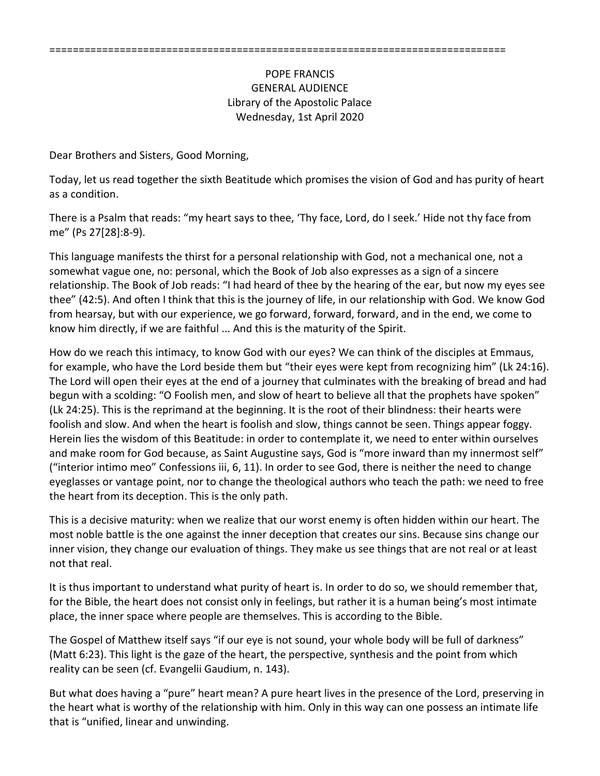#### POPE FRANCIS GENERAL AUDIENCE Library of the Apostolic Palace Wednesday, 1st April 2020

Dear Brothers and Sisters, Good Morning,

Today, let us read together the sixth Beatitude which promises the vision of God and has purity of heart as a condition.

There is a Psalm that reads: "my heart says to thee, 'Thy face, Lord, do I seek.' Hide not thy face from me" (Ps 27[28]:8-9).

This language manifests the thirst for a personal relationship with God, not a mechanical one, not a somewhat vague one, no: personal, which the Book of Job also expresses as a sign of a sincere relationship. The Book of Job reads: "I had heard of thee by the hearing of the ear, but now my eyes see thee" (42:5). And often I think that this is the journey of life, in our relationship with God. We know God from hearsay, but with our experience, we go forward, forward, forward, and in the end, we come to know him directly, if we are faithful ... And this is the maturity of the Spirit.

How do we reach this intimacy, to know God with our eyes? We can think of the disciples at Emmaus, for example, who have the Lord beside them but "their eyes were kept from recognizing him" (Lk 24:16). The Lord will open their eyes at the end of a journey that culminates with the breaking of bread and had begun with a scolding: "O Foolish men, and slow of heart to believe all that the prophets have spoken" (Lk 24:25). This is the reprimand at the beginning. It is the root of their blindness: their hearts were foolish and slow. And when the heart is foolish and slow, things cannot be seen. Things appear foggy. Herein lies the wisdom of this Beatitude: in order to contemplate it, we need to enter within ourselves and make room for God because, as Saint Augustine says, God is "more inward than my innermost self" ("interior intimo meo" Confessions iii, 6, 11). In order to see God, there is neither the need to change eyeglasses or vantage point, nor to change the theological authors who teach the path: we need to free the heart from its deception. This is the only path.

This is a decisive maturity: when we realize that our worst enemy is often hidden within our heart. The most noble battle is the one against the inner deception that creates our sins. Because sins change our inner vision, they change our evaluation of things. They make us see things that are not real or at least not that real.

It is thus important to understand what purity of heart is. In order to do so, we should remember that, for the Bible, the heart does not consist only in feelings, but rather it is a human being's most intimate place, the inner space where people are themselves. This is according to the Bible.

The Gospel of Matthew itself says "if our eye is not sound, your whole body will be full of darkness" (Matt 6:23). This light is the gaze of the heart, the perspective, synthesis and the point from which reality can be seen (cf. Evangelii Gaudium, n. 143).

But what does having a "pure" heart mean? A pure heart lives in the presence of the Lord, preserving in the heart what is worthy of the relationship with him. Only in this way can one possess an intimate life that is "unified, linear and unwinding.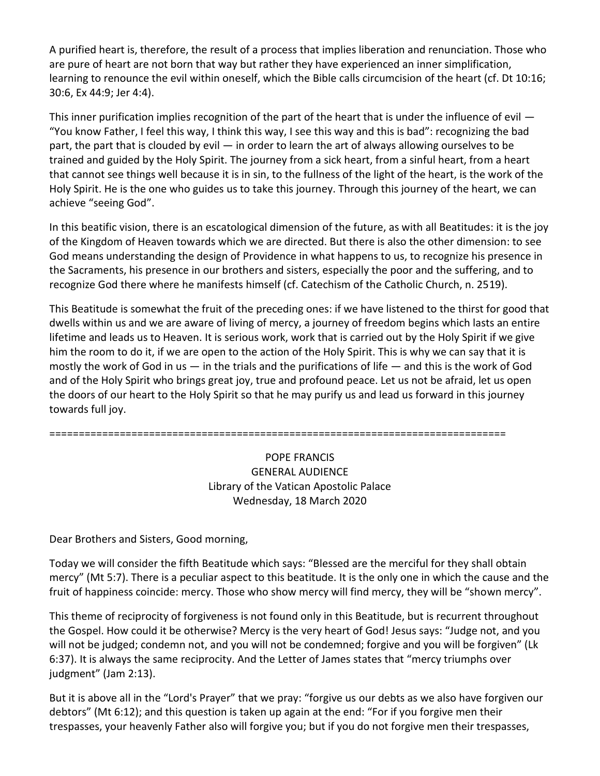A purified heart is, therefore, the result of a process that implies liberation and renunciation. Those who are pure of heart are not born that way but rather they have experienced an inner simplification, learning to renounce the evil within oneself, which the Bible calls circumcision of the heart (cf. Dt 10:16; 30:6, Ex 44:9; Jer 4:4).

This inner purification implies recognition of the part of the heart that is under the influence of evil  $-$ "You know Father, I feel this way, I think this way, I see this way and this is bad": recognizing the bad part, the part that is clouded by evil — in order to learn the art of always allowing ourselves to be trained and guided by the Holy Spirit. The journey from a sick heart, from a sinful heart, from a heart that cannot see things well because it is in sin, to the fullness of the light of the heart, is the work of the Holy Spirit. He is the one who guides us to take this journey. Through this journey of the heart, we can achieve "seeing God".

In this beatific vision, there is an escatological dimension of the future, as with all Beatitudes: it is the joy of the Kingdom of Heaven towards which we are directed. But there is also the other dimension: to see God means understanding the design of Providence in what happens to us, to recognize his presence in the Sacraments, his presence in our brothers and sisters, especially the poor and the suffering, and to recognize God there where he manifests himself (cf. Catechism of the Catholic Church, n. 2519).

This Beatitude is somewhat the fruit of the preceding ones: if we have listened to the thirst for good that dwells within us and we are aware of living of mercy, a journey of freedom begins which lasts an entire lifetime and leads us to Heaven. It is serious work, work that is carried out by the Holy Spirit if we give him the room to do it, if we are open to the action of the Holy Spirit. This is why we can say that it is mostly the work of God in us — in the trials and the purifications of life — and this is the work of God and of the Holy Spirit who brings great joy, true and profound peace. Let us not be afraid, let us open the doors of our heart to the Holy Spirit so that he may purify us and lead us forward in this journey towards full joy.

==============================================================================

## POPE FRANCIS GENERAL AUDIENCE Library of the Vatican Apostolic Palace Wednesday, 18 March 2020

Dear Brothers and Sisters, Good morning,

Today we will consider the fifth Beatitude which says: "Blessed are the merciful for they shall obtain mercy" (Mt 5:7). There is a peculiar aspect to this beatitude. It is the only one in which the cause and the fruit of happiness coincide: mercy. Those who show mercy will find mercy, they will be "shown mercy".

This theme of reciprocity of forgiveness is not found only in this Beatitude, but is recurrent throughout the Gospel. How could it be otherwise? Mercy is the very heart of God! Jesus says: "Judge not, and you will not be judged; condemn not, and you will not be condemned; forgive and you will be forgiven" (Lk 6:37). It is always the same reciprocity. And the Letter of James states that "mercy triumphs over judgment" (Jam 2:13).

But it is above all in the "Lord's Prayer" that we pray: "forgive us our debts as we also have forgiven our debtors" (Mt 6:12); and this question is taken up again at the end: "For if you forgive men their trespasses, your heavenly Father also will forgive you; but if you do not forgive men their trespasses,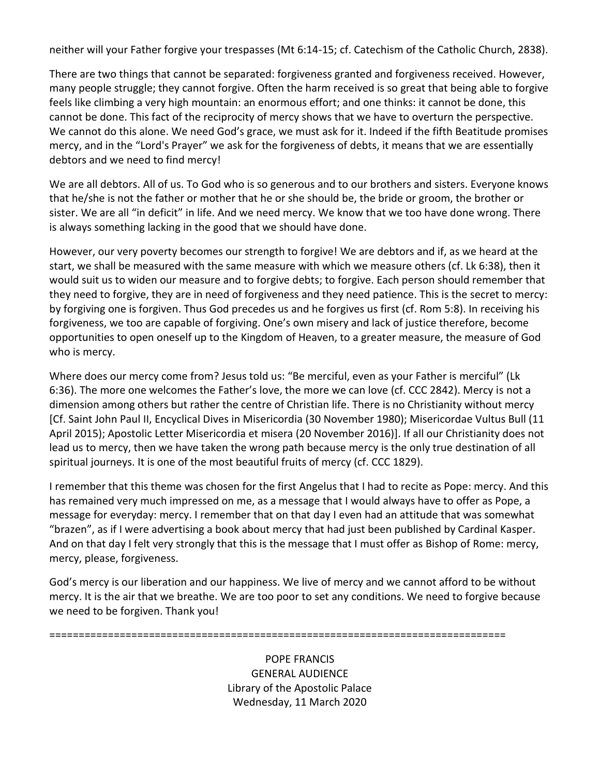neither will your Father forgive your trespasses (Mt 6:14-15; cf. Catechism of the Catholic Church, 2838).

There are two things that cannot be separated: forgiveness granted and forgiveness received. However, many people struggle; they cannot forgive. Often the harm received is so great that being able to forgive feels like climbing a very high mountain: an enormous effort; and one thinks: it cannot be done, this cannot be done. This fact of the reciprocity of mercy shows that we have to overturn the perspective. We cannot do this alone. We need God's grace, we must ask for it. Indeed if the fifth Beatitude promises mercy, and in the "Lord's Prayer" we ask for the forgiveness of debts, it means that we are essentially debtors and we need to find mercy!

We are all debtors. All of us. To God who is so generous and to our brothers and sisters. Everyone knows that he/she is not the father or mother that he or she should be, the bride or groom, the brother or sister. We are all "in deficit" in life. And we need mercy. We know that we too have done wrong. There is always something lacking in the good that we should have done.

However, our very poverty becomes our strength to forgive! We are debtors and if, as we heard at the start, we shall be measured with the same measure with which we measure others (cf. Lk 6:38), then it would suit us to widen our measure and to forgive debts; to forgive. Each person should remember that they need to forgive, they are in need of forgiveness and they need patience. This is the secret to mercy: by forgiving one is forgiven. Thus God precedes us and he forgives us first (cf. Rom 5:8). In receiving his forgiveness, we too are capable of forgiving. One's own misery and lack of justice therefore, become opportunities to open oneself up to the Kingdom of Heaven, to a greater measure, the measure of God who is mercy.

Where does our mercy come from? Jesus told us: "Be merciful, even as your Father is merciful" (Lk 6:36). The more one welcomes the Father's love, the more we can love (cf. CCC 2842). Mercy is not a dimension among others but rather the centre of Christian life. There is no Christianity without mercy [Cf. Saint John Paul II, Encyclical Dives in Misericordia (30 November 1980); Misericordae Vultus Bull (11 April 2015); Apostolic Letter Misericordia et misera (20 November 2016)]. If all our Christianity does not lead us to mercy, then we have taken the wrong path because mercy is the only true destination of all spiritual journeys. It is one of the most beautiful fruits of mercy (cf. CCC 1829).

I remember that this theme was chosen for the first Angelus that I had to recite as Pope: mercy. And this has remained very much impressed on me, as a message that I would always have to offer as Pope, a message for everyday: mercy. I remember that on that day I even had an attitude that was somewhat "brazen", as if I were advertising a book about mercy that had just been published by Cardinal Kasper. And on that day I felt very strongly that this is the message that I must offer as Bishop of Rome: mercy, mercy, please, forgiveness.

God's mercy is our liberation and our happiness. We live of mercy and we cannot afford to be without mercy. It is the air that we breathe. We are too poor to set any conditions. We need to forgive because we need to be forgiven. Thank you!

==============================================================================

POPE FRANCIS GENERAL AUDIENCE Library of the Apostolic Palace Wednesday, 11 March 2020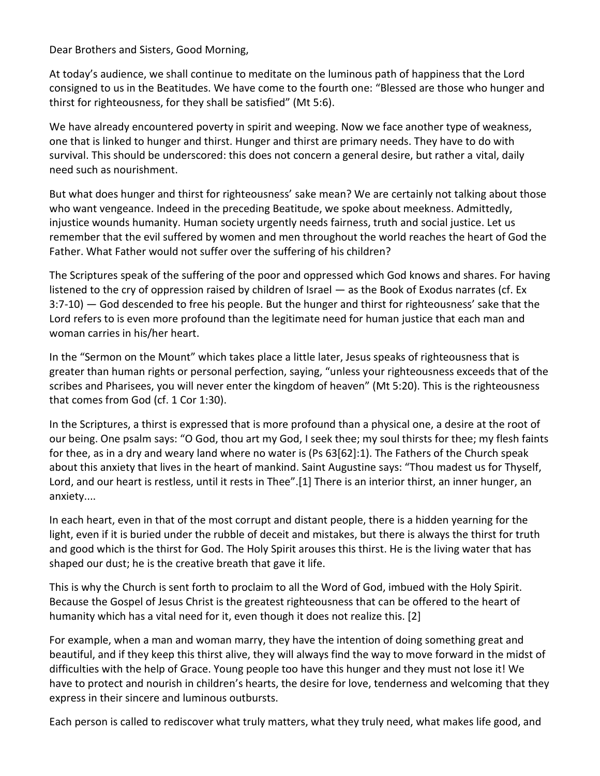Dear Brothers and Sisters, Good Morning,

At today's audience, we shall continue to meditate on the luminous path of happiness that the Lord consigned to us in the Beatitudes. We have come to the fourth one: "Blessed are those who hunger and thirst for righteousness, for they shall be satisfied" (Mt 5:6).

We have already encountered poverty in spirit and weeping. Now we face another type of weakness, one that is linked to hunger and thirst. Hunger and thirst are primary needs. They have to do with survival. This should be underscored: this does not concern a general desire, but rather a vital, daily need such as nourishment.

But what does hunger and thirst for righteousness' sake mean? We are certainly not talking about those who want vengeance. Indeed in the preceding Beatitude, we spoke about meekness. Admittedly, injustice wounds humanity. Human society urgently needs fairness, truth and social justice. Let us remember that the evil suffered by women and men throughout the world reaches the heart of God the Father. What Father would not suffer over the suffering of his children?

The Scriptures speak of the suffering of the poor and oppressed which God knows and shares. For having listened to the cry of oppression raised by children of Israel — as the Book of Exodus narrates (cf. Ex 3:7-10) — God descended to free his people. But the hunger and thirst for righteousness' sake that the Lord refers to is even more profound than the legitimate need for human justice that each man and woman carries in his/her heart.

In the "Sermon on the Mount" which takes place a little later, Jesus speaks of righteousness that is greater than human rights or personal perfection, saying, "unless your righteousness exceeds that of the scribes and Pharisees, you will never enter the kingdom of heaven" (Mt 5:20). This is the righteousness that comes from God (cf. 1 Cor 1:30).

In the Scriptures, a thirst is expressed that is more profound than a physical one, a desire at the root of our being. One psalm says: "O God, thou art my God, I seek thee; my soul thirsts for thee; my flesh faints for thee, as in a dry and weary land where no water is (Ps 63[62]:1). The Fathers of the Church speak about this anxiety that lives in the heart of mankind. Saint Augustine says: "Thou madest us for Thyself, Lord, and our heart is restless, until it rests in Thee".[1] There is an interior thirst, an inner hunger, an anxiety....

In each heart, even in that of the most corrupt and distant people, there is a hidden yearning for the light, even if it is buried under the rubble of deceit and mistakes, but there is always the thirst for truth and good which is the thirst for God. The Holy Spirit arouses this thirst. He is the living water that has shaped our dust; he is the creative breath that gave it life.

This is why the Church is sent forth to proclaim to all the Word of God, imbued with the Holy Spirit. Because the Gospel of Jesus Christ is the greatest righteousness that can be offered to the heart of humanity which has a vital need for it, even though it does not realize this. [2]

For example, when a man and woman marry, they have the intention of doing something great and beautiful, and if they keep this thirst alive, they will always find the way to move forward in the midst of difficulties with the help of Grace. Young people too have this hunger and they must not lose it! We have to protect and nourish in children's hearts, the desire for love, tenderness and welcoming that they express in their sincere and luminous outbursts.

Each person is called to rediscover what truly matters, what they truly need, what makes life good, and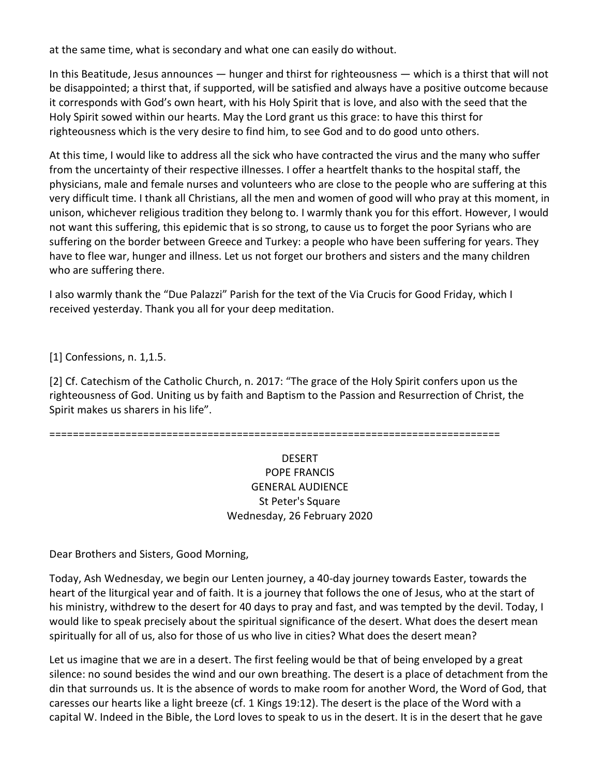at the same time, what is secondary and what one can easily do without.

In this Beatitude, Jesus announces — hunger and thirst for righteousness — which is a thirst that will not be disappointed; a thirst that, if supported, will be satisfied and always have a positive outcome because it corresponds with God's own heart, with his Holy Spirit that is love, and also with the seed that the Holy Spirit sowed within our hearts. May the Lord grant us this grace: to have this thirst for righteousness which is the very desire to find him, to see God and to do good unto others.

At this time, I would like to address all the sick who have contracted the virus and the many who suffer from the uncertainty of their respective illnesses. I offer a heartfelt thanks to the hospital staff, the physicians, male and female nurses and volunteers who are close to the people who are suffering at this very difficult time. I thank all Christians, all the men and women of good will who pray at this moment, in unison, whichever religious tradition they belong to. I warmly thank you for this effort. However, I would not want this suffering, this epidemic that is so strong, to cause us to forget the poor Syrians who are suffering on the border between Greece and Turkey: a people who have been suffering for years. They have to flee war, hunger and illness. Let us not forget our brothers and sisters and the many children who are suffering there.

I also warmly thank the "Due Palazzi" Parish for the text of the Via Crucis for Good Friday, which I received yesterday. Thank you all for your deep meditation.

[1] Confessions, n. 1,1.5.

[2] Cf. Catechism of the Catholic Church, n. 2017: "The grace of the Holy Spirit confers upon us the righteousness of God. Uniting us by faith and Baptism to the Passion and Resurrection of Christ, the Spirit makes us sharers in his life".

=============================================================================

## DESERT POPE FRANCIS GENERAL AUDIENCE St Peter's Square Wednesday, 26 February 2020

Dear Brothers and Sisters, Good Morning,

Today, Ash Wednesday, we begin our Lenten journey, a 40-day journey towards Easter, towards the heart of the liturgical year and of faith. It is a journey that follows the one of Jesus, who at the start of his ministry, withdrew to the desert for 40 days to pray and fast, and was tempted by the devil. Today, I would like to speak precisely about the spiritual significance of the desert. What does the desert mean spiritually for all of us, also for those of us who live in cities? What does the desert mean?

Let us imagine that we are in a desert. The first feeling would be that of being enveloped by a great silence: no sound besides the wind and our own breathing. The desert is a place of detachment from the din that surrounds us. It is the absence of words to make room for another Word, the Word of God, that caresses our hearts like a light breeze (cf. 1 Kings 19:12). The desert is the place of the Word with a capital W. Indeed in the Bible, the Lord loves to speak to us in the desert. It is in the desert that he gave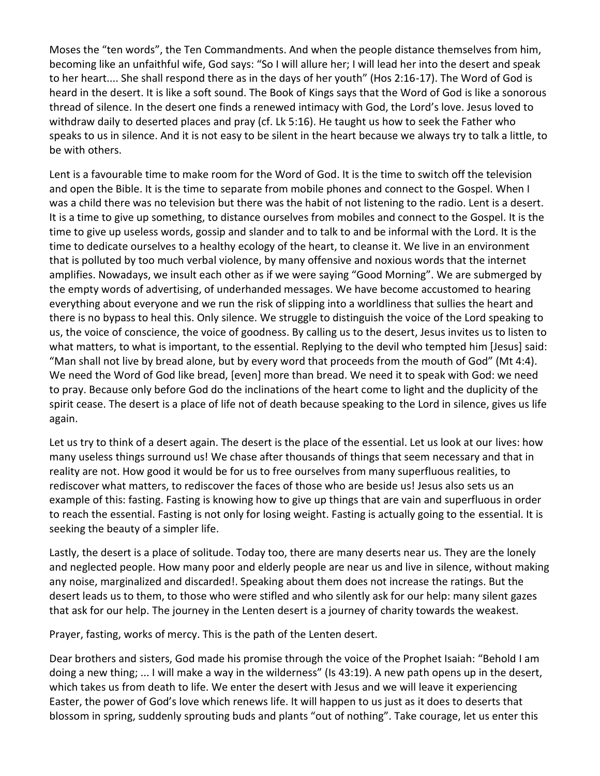Moses the "ten words", the Ten Commandments. And when the people distance themselves from him, becoming like an unfaithful wife, God says: "So I will allure her; I will lead her into the desert and speak to her heart.... She shall respond there as in the days of her youth" (Hos 2:16-17). The Word of God is heard in the desert. It is like a soft sound. The Book of Kings says that the Word of God is like a sonorous thread of silence. In the desert one finds a renewed intimacy with God, the Lord's love. Jesus loved to withdraw daily to deserted places and pray (cf. Lk 5:16). He taught us how to seek the Father who speaks to us in silence. And it is not easy to be silent in the heart because we always try to talk a little, to be with others.

Lent is a favourable time to make room for the Word of God. It is the time to switch off the television and open the Bible. It is the time to separate from mobile phones and connect to the Gospel. When I was a child there was no television but there was the habit of not listening to the radio. Lent is a desert. It is a time to give up something, to distance ourselves from mobiles and connect to the Gospel. It is the time to give up useless words, gossip and slander and to talk to and be informal with the Lord. It is the time to dedicate ourselves to a healthy ecology of the heart, to cleanse it. We live in an environment that is polluted by too much verbal violence, by many offensive and noxious words that the internet amplifies. Nowadays, we insult each other as if we were saying "Good Morning". We are submerged by the empty words of advertising, of underhanded messages. We have become accustomed to hearing everything about everyone and we run the risk of slipping into a worldliness that sullies the heart and there is no bypass to heal this. Only silence. We struggle to distinguish the voice of the Lord speaking to us, the voice of conscience, the voice of goodness. By calling us to the desert, Jesus invites us to listen to what matters, to what is important, to the essential. Replying to the devil who tempted him [Jesus] said: "Man shall not live by bread alone, but by every word that proceeds from the mouth of God" (Mt 4:4). We need the Word of God like bread, [even] more than bread. We need it to speak with God: we need to pray. Because only before God do the inclinations of the heart come to light and the duplicity of the spirit cease. The desert is a place of life not of death because speaking to the Lord in silence, gives us life again.

Let us try to think of a desert again. The desert is the place of the essential. Let us look at our lives: how many useless things surround us! We chase after thousands of things that seem necessary and that in reality are not. How good it would be for us to free ourselves from many superfluous realities, to rediscover what matters, to rediscover the faces of those who are beside us! Jesus also sets us an example of this: fasting. Fasting is knowing how to give up things that are vain and superfluous in order to reach the essential. Fasting is not only for losing weight. Fasting is actually going to the essential. It is seeking the beauty of a simpler life.

Lastly, the desert is a place of solitude. Today too, there are many deserts near us. They are the lonely and neglected people. How many poor and elderly people are near us and live in silence, without making any noise, marginalized and discarded!. Speaking about them does not increase the ratings. But the desert leads us to them, to those who were stifled and who silently ask for our help: many silent gazes that ask for our help. The journey in the Lenten desert is a journey of charity towards the weakest.

Prayer, fasting, works of mercy. This is the path of the Lenten desert.

Dear brothers and sisters, God made his promise through the voice of the Prophet Isaiah: "Behold I am doing a new thing; ... I will make a way in the wilderness" (Is 43:19). A new path opens up in the desert, which takes us from death to life. We enter the desert with Jesus and we will leave it experiencing Easter, the power of God's love which renews life. It will happen to us just as it does to deserts that blossom in spring, suddenly sprouting buds and plants "out of nothing". Take courage, let us enter this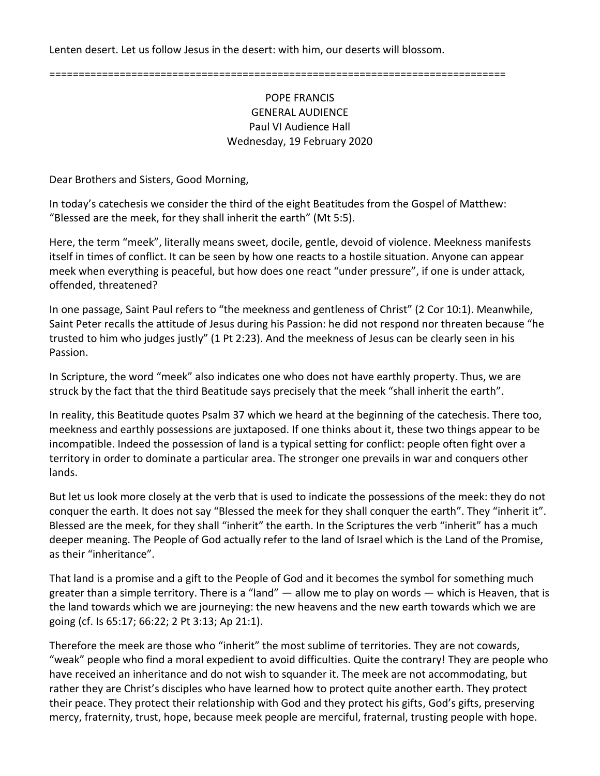Lenten desert. Let us follow Jesus in the desert: with him, our deserts will blossom.

==============================================================================

#### POPE FRANCIS GENERAL AUDIENCE Paul VI Audience Hall Wednesday, 19 February 2020

Dear Brothers and Sisters, Good Morning,

In today's catechesis we consider the third of the eight Beatitudes from the Gospel of Matthew: "Blessed are the meek, for they shall inherit the earth" (Mt 5:5).

Here, the term "meek", literally means sweet, docile, gentle, devoid of violence. Meekness manifests itself in times of conflict. It can be seen by how one reacts to a hostile situation. Anyone can appear meek when everything is peaceful, but how does one react "under pressure", if one is under attack, offended, threatened?

In one passage, Saint Paul refers to "the meekness and gentleness of Christ" (2 Cor 10:1). Meanwhile, Saint Peter recalls the attitude of Jesus during his Passion: he did not respond nor threaten because "he trusted to him who judges justly" (1 Pt 2:23). And the meekness of Jesus can be clearly seen in his Passion.

In Scripture, the word "meek" also indicates one who does not have earthly property. Thus, we are struck by the fact that the third Beatitude says precisely that the meek "shall inherit the earth".

In reality, this Beatitude quotes Psalm 37 which we heard at the beginning of the catechesis. There too, meekness and earthly possessions are juxtaposed. If one thinks about it, these two things appear to be incompatible. Indeed the possession of land is a typical setting for conflict: people often fight over a territory in order to dominate a particular area. The stronger one prevails in war and conquers other lands.

But let us look more closely at the verb that is used to indicate the possessions of the meek: they do not conquer the earth. It does not say "Blessed the meek for they shall conquer the earth". They "inherit it". Blessed are the meek, for they shall "inherit" the earth. In the Scriptures the verb "inherit" has a much deeper meaning. The People of God actually refer to the land of Israel which is the Land of the Promise, as their "inheritance".

That land is a promise and a gift to the People of God and it becomes the symbol for something much greater than a simple territory. There is a "land" — allow me to play on words — which is Heaven, that is the land towards which we are journeying: the new heavens and the new earth towards which we are going (cf. Is 65:17; 66:22; 2 Pt 3:13; Ap 21:1).

Therefore the meek are those who "inherit" the most sublime of territories. They are not cowards, "weak" people who find a moral expedient to avoid difficulties. Quite the contrary! They are people who have received an inheritance and do not wish to squander it. The meek are not accommodating, but rather they are Christ's disciples who have learned how to protect quite another earth. They protect their peace. They protect their relationship with God and they protect his gifts, God's gifts, preserving mercy, fraternity, trust, hope, because meek people are merciful, fraternal, trusting people with hope.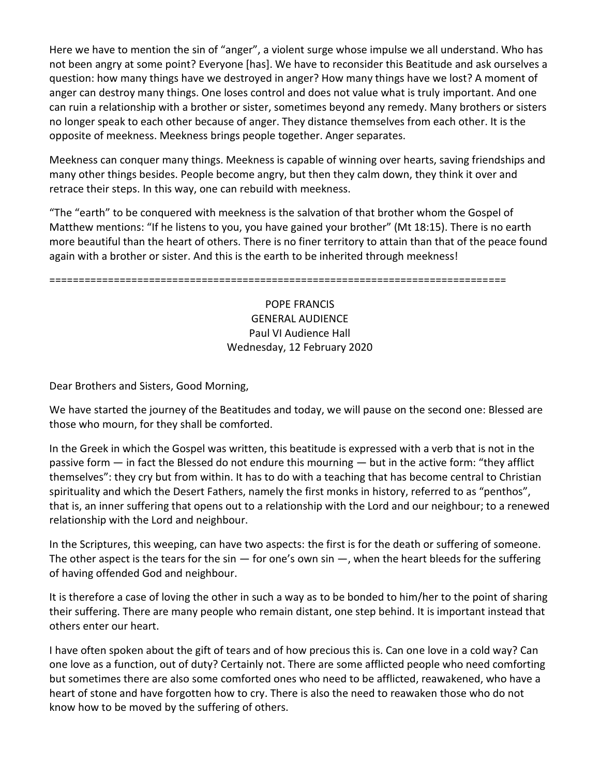Here we have to mention the sin of "anger", a violent surge whose impulse we all understand. Who has not been angry at some point? Everyone [has]. We have to reconsider this Beatitude and ask ourselves a question: how many things have we destroyed in anger? How many things have we lost? A moment of anger can destroy many things. One loses control and does not value what is truly important. And one can ruin a relationship with a brother or sister, sometimes beyond any remedy. Many brothers or sisters no longer speak to each other because of anger. They distance themselves from each other. It is the opposite of meekness. Meekness brings people together. Anger separates.

Meekness can conquer many things. Meekness is capable of winning over hearts, saving friendships and many other things besides. People become angry, but then they calm down, they think it over and retrace their steps. In this way, one can rebuild with meekness.

"The "earth" to be conquered with meekness is the salvation of that brother whom the Gospel of Matthew mentions: "If he listens to you, you have gained your brother" (Mt 18:15). There is no earth more beautiful than the heart of others. There is no finer territory to attain than that of the peace found again with a brother or sister. And this is the earth to be inherited through meekness!

==============================================================================

## POPE FRANCIS GENERAL AUDIENCE Paul VI Audience Hall Wednesday, 12 February 2020

Dear Brothers and Sisters, Good Morning,

We have started the journey of the Beatitudes and today, we will pause on the second one: Blessed are those who mourn, for they shall be comforted.

In the Greek in which the Gospel was written, this beatitude is expressed with a verb that is not in the passive form — in fact the Blessed do not endure this mourning — but in the active form: "they afflict themselves": they cry but from within. It has to do with a teaching that has become central to Christian spirituality and which the Desert Fathers, namely the first monks in history, referred to as "penthos", that is, an inner suffering that opens out to a relationship with the Lord and our neighbour; to a renewed relationship with the Lord and neighbour.

In the Scriptures, this weeping, can have two aspects: the first is for the death or suffering of someone. The other aspect is the tears for the sin  $-$  for one's own sin  $-$ , when the heart bleeds for the suffering of having offended God and neighbour.

It is therefore a case of loving the other in such a way as to be bonded to him/her to the point of sharing their suffering. There are many people who remain distant, one step behind. It is important instead that others enter our heart.

I have often spoken about the gift of tears and of how precious this is. Can one love in a cold way? Can one love as a function, out of duty? Certainly not. There are some afflicted people who need comforting but sometimes there are also some comforted ones who need to be afflicted, reawakened, who have a heart of stone and have forgotten how to cry. There is also the need to reawaken those who do not know how to be moved by the suffering of others.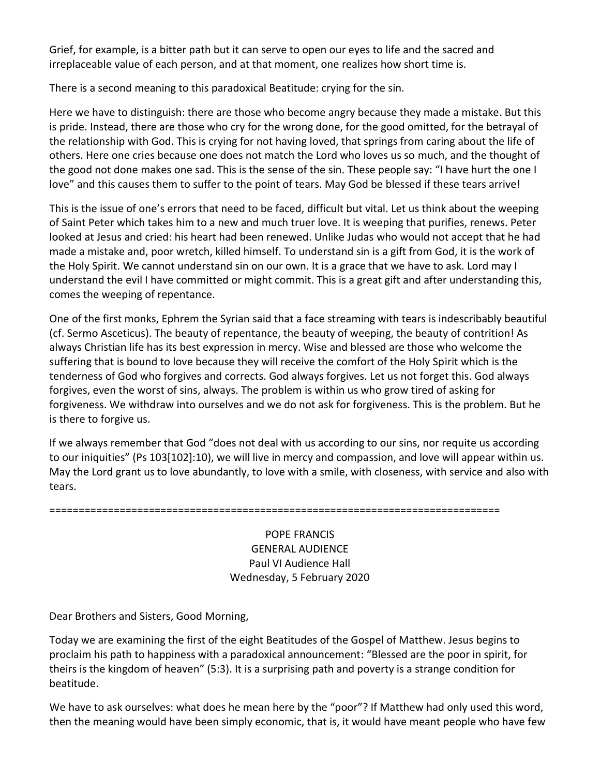Grief, for example, is a bitter path but it can serve to open our eyes to life and the sacred and irreplaceable value of each person, and at that moment, one realizes how short time is.

There is a second meaning to this paradoxical Beatitude: crying for the sin.

Here we have to distinguish: there are those who become angry because they made a mistake. But this is pride. Instead, there are those who cry for the wrong done, for the good omitted, for the betrayal of the relationship with God. This is crying for not having loved, that springs from caring about the life of others. Here one cries because one does not match the Lord who loves us so much, and the thought of the good not done makes one sad. This is the sense of the sin. These people say: "I have hurt the one I love" and this causes them to suffer to the point of tears. May God be blessed if these tears arrive!

This is the issue of one's errors that need to be faced, difficult but vital. Let us think about the weeping of Saint Peter which takes him to a new and much truer love. It is weeping that purifies, renews. Peter looked at Jesus and cried: his heart had been renewed. Unlike Judas who would not accept that he had made a mistake and, poor wretch, killed himself. To understand sin is a gift from God, it is the work of the Holy Spirit. We cannot understand sin on our own. It is a grace that we have to ask. Lord may I understand the evil I have committed or might commit. This is a great gift and after understanding this, comes the weeping of repentance.

One of the first monks, Ephrem the Syrian said that a face streaming with tears is indescribably beautiful (cf. Sermo Asceticus). The beauty of repentance, the beauty of weeping, the beauty of contrition! As always Christian life has its best expression in mercy. Wise and blessed are those who welcome the suffering that is bound to love because they will receive the comfort of the Holy Spirit which is the tenderness of God who forgives and corrects. God always forgives. Let us not forget this. God always forgives, even the worst of sins, always. The problem is within us who grow tired of asking for forgiveness. We withdraw into ourselves and we do not ask for forgiveness. This is the problem. But he is there to forgive us.

If we always remember that God "does not deal with us according to our sins, nor requite us according to our iniquities" (Ps 103[102]:10), we will live in mercy and compassion, and love will appear within us. May the Lord grant us to love abundantly, to love with a smile, with closeness, with service and also with tears.

=============================================================================

POPE FRANCIS GENERAL AUDIENCE Paul VI Audience Hall Wednesday, 5 February 2020

Dear Brothers and Sisters, Good Morning,

Today we are examining the first of the eight Beatitudes of the Gospel of Matthew. Jesus begins to proclaim his path to happiness with a paradoxical announcement: "Blessed are the poor in spirit, for theirs is the kingdom of heaven" (5:3). It is a surprising path and poverty is a strange condition for beatitude.

We have to ask ourselves: what does he mean here by the "poor"? If Matthew had only used this word, then the meaning would have been simply economic, that is, it would have meant people who have few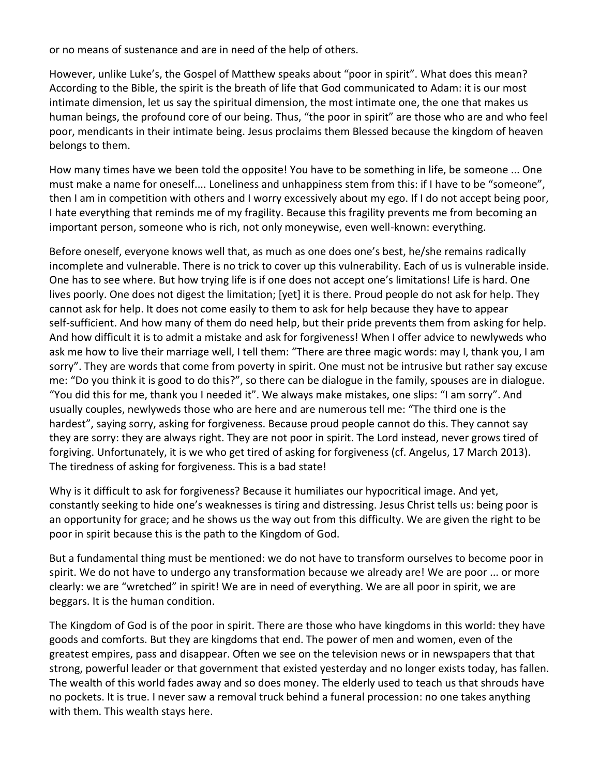or no means of sustenance and are in need of the help of others.

However, unlike Luke's, the Gospel of Matthew speaks about "poor in spirit". What does this mean? According to the Bible, the spirit is the breath of life that God communicated to Adam: it is our most intimate dimension, let us say the spiritual dimension, the most intimate one, the one that makes us human beings, the profound core of our being. Thus, "the poor in spirit" are those who are and who feel poor, mendicants in their intimate being. Jesus proclaims them Blessed because the kingdom of heaven belongs to them.

How many times have we been told the opposite! You have to be something in life, be someone ... One must make a name for oneself.... Loneliness and unhappiness stem from this: if I have to be "someone", then I am in competition with others and I worry excessively about my ego. If I do not accept being poor, I hate everything that reminds me of my fragility. Because this fragility prevents me from becoming an important person, someone who is rich, not only moneywise, even well-known: everything.

Before oneself, everyone knows well that, as much as one does one's best, he/she remains radically incomplete and vulnerable. There is no trick to cover up this vulnerability. Each of us is vulnerable inside. One has to see where. But how trying life is if one does not accept one's limitations! Life is hard. One lives poorly. One does not digest the limitation; [yet] it is there. Proud people do not ask for help. They cannot ask for help. It does not come easily to them to ask for help because they have to appear self-sufficient. And how many of them do need help, but their pride prevents them from asking for help. And how difficult it is to admit a mistake and ask for forgiveness! When I offer advice to newlyweds who ask me how to live their marriage well, I tell them: "There are three magic words: may I, thank you, I am sorry". They are words that come from poverty in spirit. One must not be intrusive but rather say excuse me: "Do you think it is good to do this?", so there can be dialogue in the family, spouses are in dialogue. "You did this for me, thank you I needed it". We always make mistakes, one slips: "I am sorry". And usually couples, newlyweds those who are here and are numerous tell me: "The third one is the hardest", saying sorry, asking for forgiveness. Because proud people cannot do this. They cannot say they are sorry: they are always right. They are not poor in spirit. The Lord instead, never grows tired of forgiving. Unfortunately, it is we who get tired of asking for forgiveness (cf. Angelus, 17 March 2013). The tiredness of asking for forgiveness. This is a bad state!

Why is it difficult to ask for forgiveness? Because it humiliates our hypocritical image. And yet, constantly seeking to hide one's weaknesses is tiring and distressing. Jesus Christ tells us: being poor is an opportunity for grace; and he shows us the way out from this difficulty. We are given the right to be poor in spirit because this is the path to the Kingdom of God.

But a fundamental thing must be mentioned: we do not have to transform ourselves to become poor in spirit. We do not have to undergo any transformation because we already are! We are poor ... or more clearly: we are "wretched" in spirit! We are in need of everything. We are all poor in spirit, we are beggars. It is the human condition.

The Kingdom of God is of the poor in spirit. There are those who have kingdoms in this world: they have goods and comforts. But they are kingdoms that end. The power of men and women, even of the greatest empires, pass and disappear. Often we see on the television news or in newspapers that that strong, powerful leader or that government that existed yesterday and no longer exists today, has fallen. The wealth of this world fades away and so does money. The elderly used to teach us that shrouds have no pockets. It is true. I never saw a removal truck behind a funeral procession: no one takes anything with them. This wealth stays here.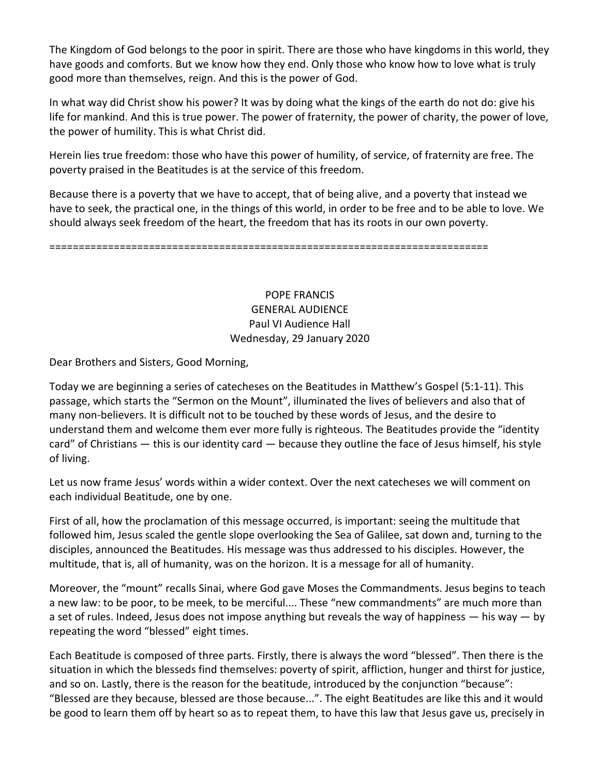The Kingdom of God belongs to the poor in spirit. There are those who have kingdoms in this world, they have goods and comforts. But we know how they end. Only those who know how to love what is truly good more than themselves, reign. And this is the power of God.

In what way did Christ show his power? It was by doing what the kings of the earth do not do: give his life for mankind. And this is true power. The power of fraternity, the power of charity, the power of love, the power of humility. This is what Christ did.

Herein lies true freedom: those who have this power of humility, of service, of fraternity are free. The poverty praised in the Beatitudes is at the service of this freedom.

Because there is a poverty that we have to accept, that of being alive, and a poverty that instead we have to seek, the practical one, in the things of this world, in order to be free and to be able to love. We should always seek freedom of the heart, the freedom that has its roots in our own poverty.

===========================================================================

POPE FRANCIS GENERAL AUDIENCE Paul VI Audience Hall Wednesday, 29 January 2020

Dear Brothers and Sisters, Good Morning,

Today we are beginning a series of catecheses on the Beatitudes in Matthew's Gospel (5:1-11). This passage, which starts the "Sermon on the Mount", illuminated the lives of believers and also that of many non-believers. It is difficult not to be touched by these words of Jesus, and the desire to understand them and welcome them ever more fully is righteous. The Beatitudes provide the "identity card" of Christians — this is our identity card — because they outline the face of Jesus himself, his style of living.

Let us now frame Jesus' words within a wider context. Over the next catecheses we will comment on each individual Beatitude, one by one.

First of all, how the proclamation of this message occurred, is important: seeing the multitude that followed him, Jesus scaled the gentle slope overlooking the Sea of Galilee, sat down and, turning to the disciples, announced the Beatitudes. His message was thus addressed to his disciples. However, the multitude, that is, all of humanity, was on the horizon. It is a message for all of humanity.

Moreover, the "mount" recalls Sinai, where God gave Moses the Commandments. Jesus begins to teach a new law: to be poor, to be meek, to be merciful.... These "new commandments" are much more than a set of rules. Indeed, Jesus does not impose anything but reveals the way of happiness  $-$  his way  $-$  by repeating the word "blessed" eight times.

Each Beatitude is composed of three parts. Firstly, there is always the word "blessed". Then there is the situation in which the blesseds find themselves: poverty of spirit, affliction, hunger and thirst for justice, and so on. Lastly, there is the reason for the beatitude, introduced by the conjunction "because": "Blessed are they because, blessed are those because...". The eight Beatitudes are like this and it would be good to learn them off by heart so as to repeat them, to have this law that Jesus gave us, precisely in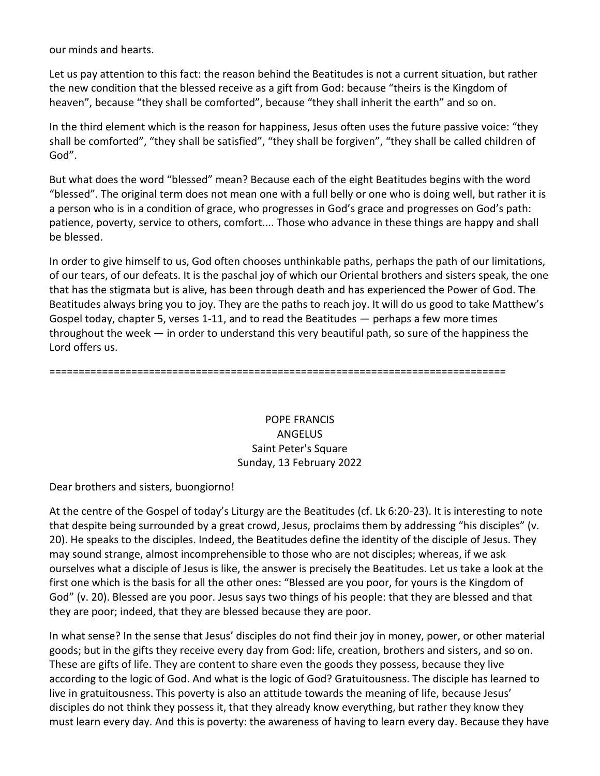our minds and hearts.

Let us pay attention to this fact: the reason behind the Beatitudes is not a current situation, but rather the new condition that the blessed receive as a gift from God: because "theirs is the Kingdom of heaven", because "they shall be comforted", because "they shall inherit the earth" and so on.

In the third element which is the reason for happiness, Jesus often uses the future passive voice: "they shall be comforted", "they shall be satisfied", "they shall be forgiven", "they shall be called children of God".

But what does the word "blessed" mean? Because each of the eight Beatitudes begins with the word "blessed". The original term does not mean one with a full belly or one who is doing well, but rather it is a person who is in a condition of grace, who progresses in God's grace and progresses on God's path: patience, poverty, service to others, comfort.... Those who advance in these things are happy and shall be blessed.

In order to give himself to us, God often chooses unthinkable paths, perhaps the path of our limitations, of our tears, of our defeats. It is the paschal joy of which our Oriental brothers and sisters speak, the one that has the stigmata but is alive, has been through death and has experienced the Power of God. The Beatitudes always bring you to joy. They are the paths to reach joy. It will do us good to take Matthew's Gospel today, chapter 5, verses 1-11, and to read the Beatitudes — perhaps a few more times throughout the week — in order to understand this very beautiful path, so sure of the happiness the Lord offers us.

==============================================================================

# POPE FRANCIS ANGELUS Saint Peter's Square Sunday, 13 February 2022

Dear brothers and sisters, buongiorno!

At the centre of the Gospel of today's Liturgy are the Beatitudes (cf. Lk 6:20-23). It is interesting to note that despite being surrounded by a great crowd, Jesus, proclaims them by addressing "his disciples" (v. 20). He speaks to the disciples. Indeed, the Beatitudes define the identity of the disciple of Jesus. They may sound strange, almost incomprehensible to those who are not disciples; whereas, if we ask ourselves what a disciple of Jesus is like, the answer is precisely the Beatitudes. Let us take a look at the first one which is the basis for all the other ones: "Blessed are you poor, for yours is the Kingdom of God" (v. 20). Blessed are you poor. Jesus says two things of his people: that they are blessed and that they are poor; indeed, that they are blessed because they are poor.

In what sense? In the sense that Jesus' disciples do not find their joy in money, power, or other material goods; but in the gifts they receive every day from God: life, creation, brothers and sisters, and so on. These are gifts of life. They are content to share even the goods they possess, because they live according to the logic of God. And what is the logic of God? Gratuitousness. The disciple has learned to live in gratuitousness. This poverty is also an attitude towards the meaning of life, because Jesus' disciples do not think they possess it, that they already know everything, but rather they know they must learn every day. And this is poverty: the awareness of having to learn every day. Because they have